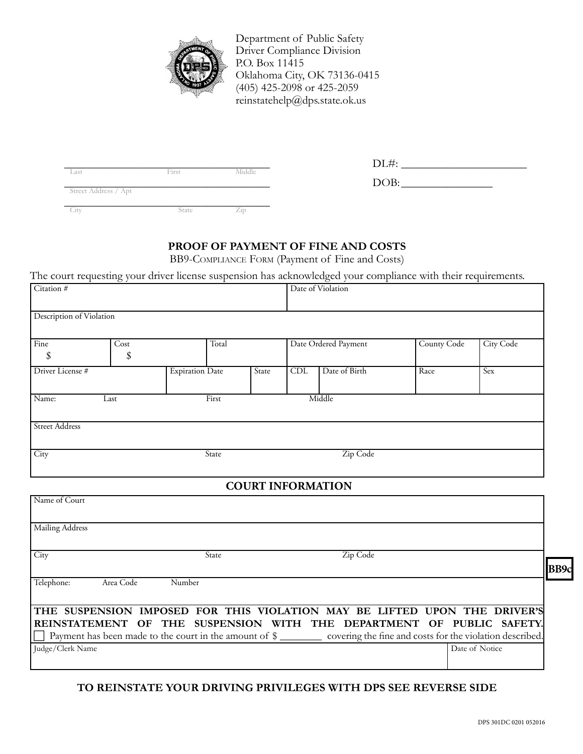

Department of Public Safety Driver Compliance Division P.O. Box 11415 Oklahoma City, OK 73136-0415 (405) 425-2098 or 425-2059 reinstatehelp@dps.state.ok.us

\_\_\_\_\_\_\_\_\_\_\_\_\_\_\_\_\_\_\_\_\_\_\_\_\_\_\_\_\_\_\_\_\_\_\_\_ DL#: \_\_\_\_\_\_\_\_\_\_\_\_\_\_\_\_\_\_\_\_\_\_ Last First Middle

\_\_\_\_\_\_\_\_\_\_\_\_\_\_\_\_\_\_\_\_\_\_\_\_\_\_\_\_\_\_\_\_\_\_\_\_ DOB:\_\_\_\_\_\_\_\_\_\_\_\_\_\_\_\_ Street Address / Apt

| Last                 | First | Middle |
|----------------------|-------|--------|
| Street Address / Apt |       |        |
|                      | state |        |

# **Proof of Payment of Fine and Costs**

BB9-Compliance Form (Payment of Fine and Costs)

The court requesting your driver license suspension has acknowledged your compliance with their requirements.

| л.                       | $\circ$ |                        | $\mathbf{L}$ |       |            | $\circ$<br>$\overline{\phantom{a}}$<br>$\mathbf{r}$ |             | $\mathbf{I}$ |  |
|--------------------------|---------|------------------------|--------------|-------|------------|-----------------------------------------------------|-------------|--------------|--|
| Citation #               |         |                        |              |       |            | Date of Violation                                   |             |              |  |
|                          |         |                        |              |       |            |                                                     |             |              |  |
| Description of Violation |         |                        |              |       |            |                                                     |             |              |  |
|                          |         |                        |              |       |            |                                                     |             |              |  |
|                          |         |                        |              |       |            |                                                     |             |              |  |
| Fine                     | Cost    |                        | Total        |       |            | Date Ordered Payment                                | County Code | City Code    |  |
| \$                       | \$      |                        |              |       |            |                                                     |             |              |  |
| Driver License #         |         | <b>Expiration Date</b> |              | State | <b>CDL</b> | Date of Birth                                       | Race        | Sex          |  |
|                          |         |                        |              |       |            |                                                     |             |              |  |
| Name:<br>Last            |         |                        | First        |       |            | Middle                                              |             |              |  |
|                          |         |                        |              |       |            |                                                     |             |              |  |
|                          |         |                        |              |       |            |                                                     |             |              |  |
| <b>Street Address</b>    |         |                        |              |       |            |                                                     |             |              |  |
|                          |         |                        |              |       |            |                                                     |             |              |  |
| City                     |         |                        | State        |       |            | Zip Code                                            |             |              |  |
|                          |         |                        |              |       |            |                                                     |             |              |  |

## **Court Information**

| Name of Court           |        |                                                                                                                                   |                |
|-------------------------|--------|-----------------------------------------------------------------------------------------------------------------------------------|----------------|
| Mailing Address         |        |                                                                                                                                   |                |
| City                    | State  | Zip Code                                                                                                                          |                |
| Area Code<br>Telephone: | Number |                                                                                                                                   | <b>BB9c</b>    |
|                         |        |                                                                                                                                   |                |
|                         |        | THE SUSPENSION IMPOSED FOR THIS VIOLATION MAY BE LIFTED UPON THE DRIVER'S                                                         |                |
|                         |        | REINSTATEMENT OF THE SUSPENSION WITH THE DEPARTMENT OF PUBLIC SAFETY.                                                             |                |
|                         |        | $\Box$ Payment has been made to the court in the amount of $\frac{1}{2}$ covering the fine and costs for the violation described. |                |
| Judge/Clerk Name        |        |                                                                                                                                   | Date of Notice |
|                         |        |                                                                                                                                   |                |

## **To Reinstate your Driving Privileges With DPS See Reverse Side**